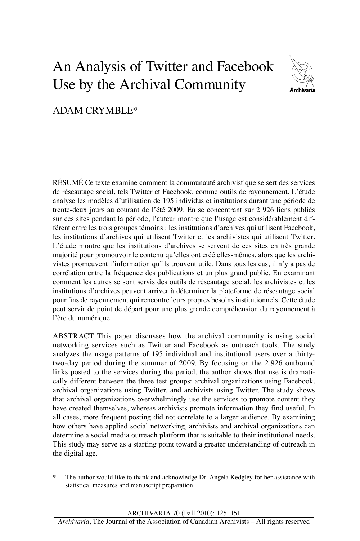# An Analysis of Twitter and Facebook Use by the Archival Community



# ADAM CRYMBLE\*

RÉSUMÉ Ce texte examine comment la communauté archivistique se sert des services de réseautage social, tels Twitter et Facebook, comme outils de rayonnement. L'étude analyse les modèles d'utilisation de 195 individus et institutions durant une période de trente-deux jours au courant de l'été 2009. En se concentrant sur 2 926 liens publiés sur ces sites pendant la période, l'auteur montre que l'usage est considérablement différent entre les trois groupes témoins : les institutions d'archives qui utilisent Facebook, les institutions d'archives qui utilisent Twitter et les archivistes qui utilisent Twitter. L'étude montre que les institutions d'archives se servent de ces sites en très grande majorité pour promouvoir le contenu qu'elles ont créé elles-mêmes, alors que les archivistes promeuvent l'information qu'ils trouvent utile. Dans tous les cas, il n'y a pas de corrélation entre la fréquence des publications et un plus grand public. En examinant comment les autres se sont servis des outils de réseautage social, les archivistes et les institutions d'archives peuvent arriver à déterminer la plateforme de réseautage social pour fins de rayonnement qui rencontre leurs propres besoins institutionnels. Cette étude peut servir de point de départ pour une plus grande compréhension du rayonnement à l'ère du numérique.

ABSTRACT This paper discusses how the archival community is using social networking services such as Twitter and Facebook as outreach tools. The study analyzes the usage patterns of 195 individual and institutional users over a thirtytwo-day period during the summer of 2009. By focusing on the 2,926 outbound links posted to the services during the period, the author shows that use is dramatically different between the three test groups: archival organizations using Facebook, archival organizations using Twitter, and archivists using Twitter. The study shows that archival organizations overwhelmingly use the services to promote content they have created themselves, whereas archivists promote information they find useful. In all cases, more frequent posting did not correlate to a larger audience. By examining how others have applied social networking, archivists and archival organizations can determine a social media outreach platform that is suitable to their institutional needs. This study may serve as a starting point toward a greater understanding of outreach in the digital age.

The author would like to thank and acknowledge Dr. Angela Kedgley for her assistance with statistical measures and manuscript preparation.

Archivaria 70 (Fall 2010): 125–151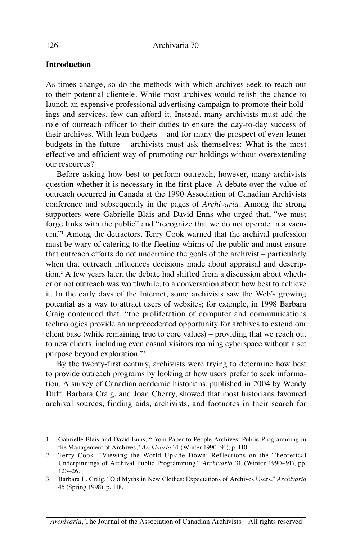#### **Introduction**

As times change, so do the methods with which archives seek to reach out to their potential clientele. While most archives would relish the chance to launch an expensive professional advertising campaign to promote their holdings and services, few can afford it. Instead, many archivists must add the role of outreach officer to their duties to ensure the day-to-day success of their archives. With lean budgets – and for many the prospect of even leaner budgets in the future – archivists must ask themselves: What is the most effective and efficient way of promoting our holdings without overextending our resources?

Before asking how best to perform outreach, however, many archivists question whether it is necessary in the first place. A debate over the value of outreach occurred in Canada at the 1990 Association of Canadian Archivists conference and subsequently in the pages of *Archivaria.* Among the strong supporters were Gabrielle Blais and David Enns who urged that, "we must forge links with the public" and "recognize that we do not operate in a vacuum."1 Among the detractors, Terry Cook warned that the archival profession must be wary of catering to the fleeting whims of the public and must ensure that outreach efforts do not undermine the goals of the archivist – particularly when that outreach influences decisions made about appraisal and description.2 A few years later, the debate had shifted from a discussion about whether or not outreach was worthwhile, to a conversation about how best to achieve it. In the early days of the Internet, some archivists saw the Web's growing potential as a way to attract users of websites; for example, in 1998 Barbara Craig contended that, "the proliferation of computer and communications technologies provide an unprecedented opportunity for archives to extend our client base (while remaining true to core values) – providing that we reach out to new clients, including even casual visitors roaming cyberspace without a set purpose beyond exploration."3

By the twenty-first century, archivists were trying to determine how best to provide outreach programs by looking at how users prefer to seek information. A survey of Canadian academic historians, published in 2004 by Wendy Duff, Barbara Craig, and Joan Cherry, showed that most historians favoured archival sources, finding aids, archivists, and footnotes in their search for

<sup>1</sup> Gabrielle Blais and David Enns, "From Paper to People Archives: Public Programming in the Management of Archives," *Archivaria* 31 (Winter 1990–91), p. 110.

<sup>2</sup> Terry Cook, "Viewing the World Upside Down: Reflections on the Theoretical Underpinnings of Archival Public Programming," *Archivaria* 31 (Winter 1990–91), pp. 123–26.

<sup>3</sup> Barbara L. Craig, "Old Myths in New Clothes: Expectations of Archives Users," *Archivaria* 45 (Spring 1998), p. 118.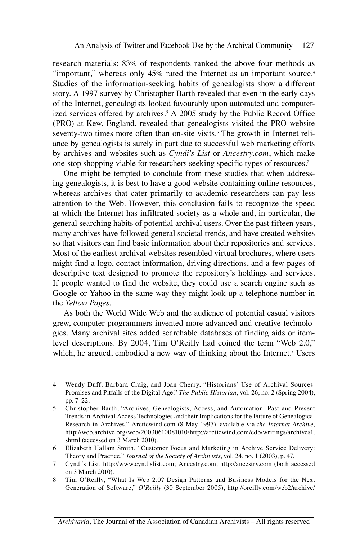research materials: 83% of respondents ranked the above four methods as "important," whereas only 45% rated the Internet as an important source.<sup>4</sup> Studies of the information-seeking habits of genealogists show a different story. A 1997 survey by Christopher Barth revealed that even in the early days of the Internet, genealogists looked favourably upon automated and computerized services offered by archives.<sup>5</sup> A 2005 study by the Public Record Office (PRO) at Kew, England, revealed that genealogists visited the PRO website seventy-two times more often than on-site visits.<sup>6</sup> The growth in Internet reliance by genealogists is surely in part due to successful web marketing efforts by archives and websites such as *Cyndi's List* or *Ancestry.com*, which make one-stop shopping viable for researchers seeking specific types of resources.7

One might be tempted to conclude from these studies that when addressing genealogists, it is best to have a good website containing online resources, whereas archives that cater primarily to academic researchers can pay less attention to the Web. However, this conclusion fails to recognize the speed at which the Internet has infiltrated society as a whole and, in particular, the general searching habits of potential archival users. Over the past fifteen years, many archives have followed general societal trends, and have created websites so that visitors can find basic information about their repositories and services. Most of the earliest archival websites resembled virtual brochures, where users might find a logo, contact information, driving directions, and a few pages of descriptive text designed to promote the repository's holdings and services. If people wanted to find the website, they could use a search engine such as Google or Yahoo in the same way they might look up a telephone number in the *Yellow Pages*.

As both the World Wide Web and the audience of potential casual visitors grew, computer programmers invented more advanced and creative technologies. Many archival sites added searchable databases of finding aids or itemlevel descriptions. By 2004, Tim O'Reilly had coined the term "Web 2.0," which, he argued, embodied a new way of thinking about the Internet.<sup>8</sup> Users

- 6 Elizabeth Hallam Smith, "Customer Focus and Marketing in Archive Service Delivery: Theory and Practice," *Journal of the Society of Archivists*, vol. 24, no. 1 (2003), p. 47.
- 7 Cyndi's List, http://www.cyndislist.com; Ancestry.com, http://ancestry.com (both accessed on 3 March 2010).
- 8 Tim O'Reilly, "What Is Web 2.0? Design Patterns and Business Models for the Next Generation of Software," *O'Reilly* (30 September 2005), http://oreilly.com/web2/archive/

*Archivaria*, The Journal of the Association of Canadian Archivists – All rights reserved

<sup>4</sup> Wendy Duff, Barbara Craig, and Joan Cherry, "Historians' Use of Archival Sources: Promises and Pitfalls of the Digital Age," *The Public Historian*, vol. 26, no. 2 (Spring 2004), pp. 7–22.

<sup>5</sup> Christopher Barth, "Archives, Genealogists, Access, and Automation: Past and Present Trends in Archival Access Technologies and their Implications for the Future of Genealogical Research in Archives," Arcticwind.com (8 May 1997), available via *the Internet Archive,*  http://web.archive.org/web/20030610081010/http://arcticwind.com/cdb/writings/archives1. shtml (accessed on 3 March 2010).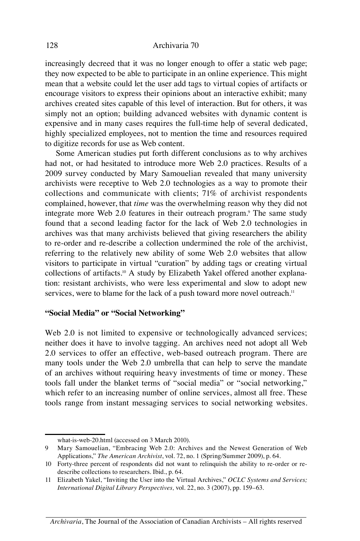#### 128 Archivaria 70

increasingly decreed that it was no longer enough to offer a static web page; they now expected to be able to participate in an online experience. This might mean that a website could let the user add tags to virtual copies of artifacts or encourage visitors to express their opinions about an interactive exhibit; many archives created sites capable of this level of interaction. But for others, it was simply not an option; building advanced websites with dynamic content is expensive and in many cases requires the full-time help of several dedicated, highly specialized employees, not to mention the time and resources required to digitize records for use as Web content.

Some American studies put forth different conclusions as to why archives had not, or had hesitated to introduce more Web 2.0 practices. Results of a 2009 survey conducted by Mary Samouelian revealed that many university archivists were receptive to Web 2.0 technologies as a way to promote their collections and communicate with clients; 71% of archivist respondents complained, however, that *time* was the overwhelming reason why they did not integrate more Web 2.0 features in their outreach program.<sup>9</sup> The same study found that a second leading factor for the lack of Web 2.0 technologies in archives was that many archivists believed that giving researchers the ability to re-order and re-describe a collection undermined the role of the archivist, referring to the relatively new ability of some Web 2.0 websites that allow visitors to participate in virtual "curation" by adding tags or creating virtual collections of artifacts.<sup>10</sup> A study by Elizabeth Yakel offered another explanation: resistant archivists, who were less experimental and slow to adopt new services, were to blame for the lack of a push toward more novel outreach.<sup>11</sup>

#### **"Social Media" or "Social Networking"**

Web 2.0 is not limited to expensive or technologically advanced services; neither does it have to involve tagging. An archives need not adopt all Web 2.0 services to offer an effective, web-based outreach program. There are many tools under the Web 2.0 umbrella that can help to serve the mandate of an archives without requiring heavy investments of time or money. These tools fall under the blanket terms of "social media" or "social networking," which refer to an increasing number of online services, almost all free. These tools range from instant messaging services to social networking websites.

what-is-web-20.html (accessed on 3 March 2010).

<sup>9</sup> Mary Samouelian, "Embracing Web 2.0: Archives and the Newest Generation of Web Applications," *The American Archivist*, vol. 72, no. 1 (Spring/Summer 2009), p. 64.

<sup>10</sup> Forty-three percent of respondents did not want to relinquish the ability to re-order or redescribe collections to researchers. Ibid., p. 64.

<sup>11</sup> Elizabeth Yakel, "Inviting the User into the Virtual Archives," *OCLC Systems and Services; International Digital Library Perspectives,* vol. 22, no. 3 (2007), pp. 159–63.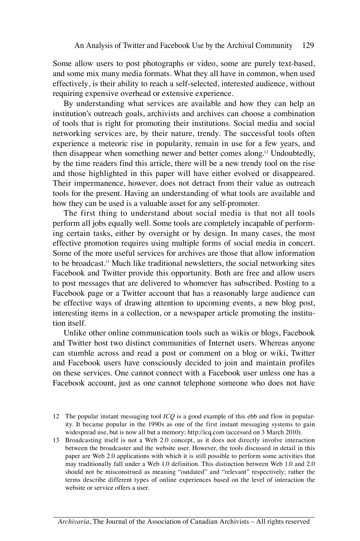Some allow users to post photographs or video, some are purely text-based, and some mix many media formats. What they all have in common, when used effectively, is their ability to reach a self-selected, interested audience, without requiring expensive overhead or extensive experience.

By understanding what services are available and how they can help an institution's outreach goals, archivists and archives can choose a combination of tools that is right for promoting their institutions. Social media and social networking services are, by their nature, trendy. The successful tools often experience a meteoric rise in popularity, remain in use for a few years, and then disappear when something newer and better comes along.12 Undoubtedly, by the time readers find this article, there will be a new trendy tool on the rise and those highlighted in this paper will have either evolved or disappeared. Their impermanence, however, does not detract from their value as outreach tools for the present. Having an understanding of what tools are available and how they can be used is a valuable asset for any self-promoter.

The first thing to understand about social media is that not all tools perform all jobs equally well. Some tools are completely incapable of performing certain tasks, either by oversight or by design. In many cases, the most effective promotion requires using multiple forms of social media in concert. Some of the more useful services for archives are those that allow information to be broadcast.13 Much like traditional newsletters, the social networking sites Facebook and Twitter provide this opportunity. Both are free and allow users to post messages that are delivered to whomever has subscribed. Posting to a Facebook page or a Twitter account that has a reasonably large audience can be effective ways of drawing attention to upcoming events, a new blog post, interesting items in a collection, or a newspaper article promoting the institution itself.

Unlike other online communication tools such as wikis or blogs, Facebook and Twitter host two distinct communities of Internet users. Whereas anyone can stumble across and read a post or comment on a blog or wiki, Twitter and Facebook users have consciously decided to join and maintain profiles on these services. One cannot connect with a Facebook user unless one has a Facebook account, just as one cannot telephone someone who does not have

13 Broadcasting itself is not a Web 2.0 concept, as it does not directly involve interaction between the broadcaster and the website user. However, the tools discussed in detail in this paper are Web 2.0 applications with which it is still possible to perform some activities that may traditionally fall under a Web 1.0 definition. This distinction between Web 1.0 and 2.0 should not be misconstrued as meaning "outdated" and "relevant" respectively; rather the terms describe different types of online experiences based on the level of interaction the website or service offers a user.

<sup>12</sup> The popular instant messaging tool *ICQ* is a good example of this ebb and flow in popularity. It became popular in the 1990s as one of the first instant messaging systems to gain widespread use, but is now all but a memory; http://icq.com (accessed on 3 March 2010).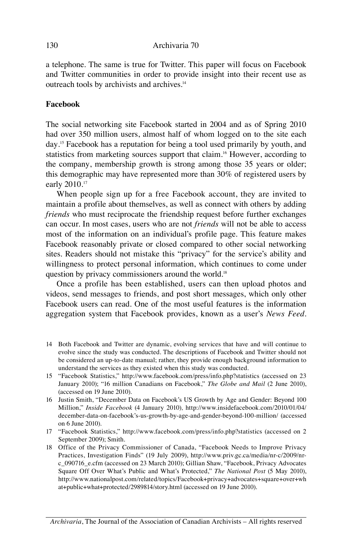a telephone. The same is true for Twitter. This paper will focus on Facebook and Twitter communities in order to provide insight into their recent use as outreach tools by archivists and archives.14

#### **Facebook**

The social networking site Facebook started in 2004 and as of Spring 2010 had over 350 million users, almost half of whom logged on to the site each day.15 Facebook has a reputation for being a tool used primarily by youth, and statistics from marketing sources support that claim.<sup>16</sup> However, according to the company, membership growth is strong among those 35 years or older; this demographic may have represented more than 30% of registered users by early 2010.<sup>17</sup>

When people sign up for a free Facebook account, they are invited to maintain a profile about themselves, as well as connect with others by adding *friends* who must reciprocate the friendship request before further exchanges can occur. In most cases, users who are not *friends* will not be able to access most of the information on an individual's profile page. This feature makes Facebook reasonably private or closed compared to other social networking sites. Readers should not mistake this "privacy" for the service's ability and willingness to protect personal information, which continues to come under question by privacy commissioners around the world.18

Once a profile has been established, users can then upload photos and videos, send messages to friends, and post short messages, which only other Facebook users can read. One of the most useful features is the information aggregation system that Facebook provides, known as a user's *News Feed*.

- 14 Both Facebook and Twitter are dynamic, evolving services that have and will continue to evolve since the study was conducted. The descriptions of Facebook and Twitter should not be considered an up-to-date manual; rather, they provide enough background information to understand the services as they existed when this study was conducted.
- 15 "Facebook Statistics," http://www.facebook.com/press/info.php?statistics (accessed on 23 January 2010); "16 million Canadians on Facebook," *The Globe and Mail* (2 June 2010), (accessed on 19 June 2010).
- 16 Justin Smith, "December Data on Facebook's US Growth by Age and Gender: Beyond 100 Million," *Inside Facebook* (4 January 2010)*,* http://www.insidefacebook.com/2010/01/04/ december-data-on-facebook's-us-growth-by-age-and-gender-beyond-100-million/ (accessed on 6 June 2010).
- 17 "Facebook Statistics," http://www.facebook.com/press/info.php?statistics (accessed on 2 September 2009); Smith.
- 18 Office of the Privacy Commissioner of Canada, "Facebook Needs to Improve Privacy Practices, Investigation Finds" (19 July 2009), http://www.priv.gc.ca/media/nr-c/2009/nrc\_090716\_e.cfm (accessed on 23 March 2010); Gillian Shaw, "Facebook, Privacy Advocates Square Off Over What's Public and What's Protected," *The National Post* (5 May 2010), http://www.nationalpost.com/related/topics/Facebook+privacy+advocates+square+over+wh at+public+what+protected/2989814/story.html (accessed on 19 June 2010).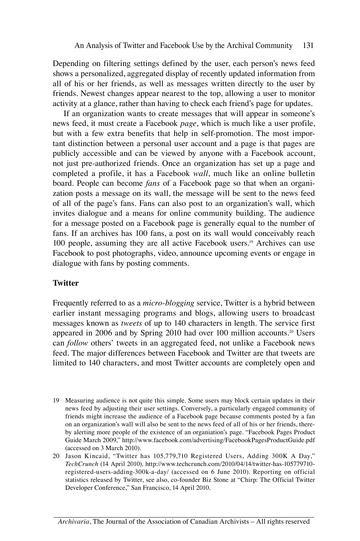Depending on filtering settings defined by the user, each person's news feed shows a personalized, aggregated display of recently updated information from all of his or her friends, as well as messages written directly to the user by friends. Newest changes appear nearest to the top, allowing a user to monitor activity at a glance, rather than having to check each friend's page for updates.

If an organization wants to create messages that will appear in someone's news feed, it must create a Facebook *page*, which is much like a user profile, but with a few extra benefits that help in self-promotion. The most important distinction between a personal user account and a page is that pages are publicly accessible and can be viewed by anyone with a Facebook account, not just pre-authorized friends. Once an organization has set up a page and completed a profile, it has a Facebook *wall*, much like an online bulletin board. People can become *fans* of a Facebook page so that when an organization posts a message on its wall, the message will be sent to the news feed of all of the page's fans. Fans can also post to an organization's wall, which invites dialogue and a means for online community building. The audience for a message posted on a Facebook page is generally equal to the number of fans. If an archives has 100 fans, a post on its wall would conceivably reach 100 people, assuming they are all active Facebook users.19 Archives can use Facebook to post photographs, video, announce upcoming events or engage in dialogue with fans by posting comments.

#### **Twitter**

Frequently referred to as a *micro-blogging* service, Twitter is a hybrid between earlier instant messaging programs and blogs, allowing users to broadcast messages known as *tweets* of up to 140 characters in length. The service first appeared in 2006 and by Spring 2010 had over 100 million accounts.20 Users can *follow* others' tweets in an aggregated feed, not unlike a Facebook news feed. The major differences between Facebook and Twitter are that tweets are limited to 140 characters, and most Twitter accounts are completely open and

- 19 Measuring audience is not quite this simple. Some users may block certain updates in their news feed by adjusting their user settings. Conversely, a particularly engaged community of friends might increase the audience of a Facebook page because comments posted by a fan on an organization's wall will also be sent to the news feed of all of his or her friends, thereby alerting more people of the existence of an organiation's page. "Facebook Pages Product Guide March 2009," http://www.facebook.com/advertising/FacebookPagesProductGuide.pdf (accessed on 3 March 2010).
- 20 Jason Kincaid, "Twitter has 105,779,710 Registered Users, Adding 300K A Day," *TechCrunch* (14 April 2010)*,* http://www.techcrunch.com/2010/04/14/twitter-has-105779710 registered-users-adding-300k-a-day/ (accessed on 6 June 2010). Reporting on official statistics released by Twitter, see also, co-founder Biz Stone at "Chirp: The Official Twitter Developer Conference," San Francisco, 14 April 2010.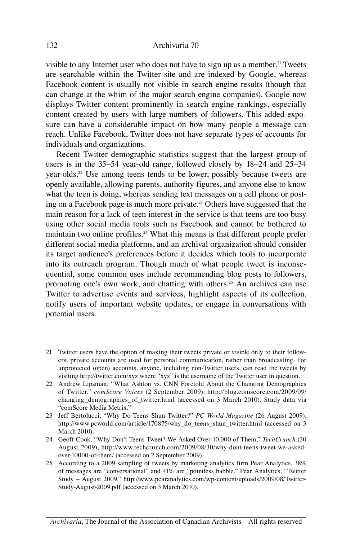#### 132 Archivaria 70

visible to any Internet user who does not have to sign up as a member.<sup>21</sup> Tweets are searchable within the Twitter site and are indexed by Google, whereas Facebook content is usually not visible in search engine results (though that can change at the whim of the major search engine companies). Google now displays Twitter content prominently in search engine rankings, especially content created by users with large numbers of followers. This added exposure can have a considerable impact on how many people a message can reach. Unlike Facebook, Twitter does not have separate types of accounts for individuals and organizations.

Recent Twitter demographic statistics suggest that the largest group of users is in the 35–54 year-old range, followed closely by 18–24 and 25–34 year-olds.22 Use among teens tends to be lower, possibly because tweets are openly available, allowing parents, authority figures, and anyone else to know what the teen is doing, whereas sending text messages on a cell phone or posting on a Facebook page is much more private.<sup>23</sup> Others have suggested that the main reason for a lack of teen interest in the service is that teens are too busy using other social media tools such as Facebook and cannot be bothered to maintain two online profiles.<sup>24</sup> What this means is that different people prefer different social media platforms, and an archival organization should consider its target audience's preferences before it decides which tools to incorporate into its outreach program. Though much of what people tweet is inconsequential, some common uses include recommending blog posts to followers, promoting one's own work, and chatting with others.<sup>25</sup> An archives can use Twitter to advertise events and services, highlight aspects of its collection, notify users of important website updates, or engage in conversations with potential users.

- 21 Twitter users have the option of making their tweets private or visible only to their followers; private accounts are used for personal communication, rather than broadcasting. For unprotected (open) accounts, anyone, including non-Twitter users, can read the tweets by visiting http://twitter.com/xyz where "xyz" is the username of the Twitter user in question.
- 22 Andrew Lipsman, "What Ashton vs. CNN Foretold About the Changing Demographics of Twitter," *comScore Voices* (2 September 2009), http://blog.comscore.com/2009/09/ changing\_demographics\_of\_twitter.html (accessed on 3 March 2010). Study data via "comScore Media Metrix."
- 23 Jeff Bertolucci, "Why Do Teens Shun Twitter?" *PC World Magazine* (26 August 2009), http://www.pcworld.com/article/170875/why\_do\_teens\_shun\_twitter.html (accessed on 3 March 2010).
- 24 Geoff Cook, "Why Don't Teens Tweet? We Asked Over 10,000 of Them," *TechCrunch* (30 August 2009), http://www.techcrunch.com/2009/08/30/why-dont-teens-tweet-we-askedover-10000-of-them/ (accessed on 2 September 2009)*.*
- 25 According to a 2009 sampling of tweets by marketing analytics firm Pear Analytics, 38% of messages are "conversational" and 41% are "pointless babble." Pear Analytics, "Twitter Study – August 2009," http://www.pearanalytics.com/wp-content/uploads/2009/08/Twitter-Study-August-2009.pdf (accessed on 3 March 2010).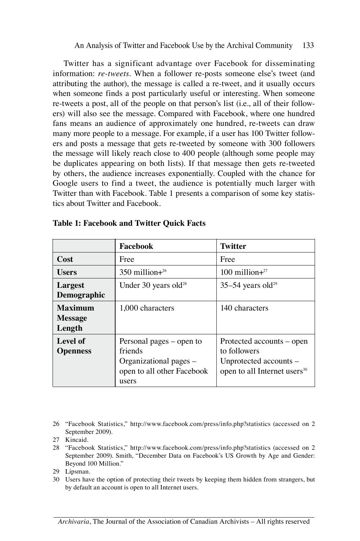Twitter has a significant advantage over Facebook for disseminating information: *re-tweets*. When a follower re-posts someone else's tweet (and attributing the author), the message is called a re-tweet, and it usually occurs when someone finds a post particularly useful or interesting. When someone re-tweets a post, all of the people on that person's list (i.e., all of their followers) will also see the message. Compared with Facebook, where one hundred fans means an audience of approximately one hundred, re-tweets can draw many more people to a message. For example, if a user has 100 Twitter followers and posts a message that gets re-tweeted by someone with 300 followers the message will likely reach close to 400 people (although some people may be duplicates appearing on both lists). If that message then gets re-tweeted by others, the audience increases exponentially. Coupled with the chance for Google users to find a tweet, the audience is potentially much larger with Twitter than with Facebook. Table 1 presents a comparison of some key statistics about Twitter and Facebook.

|                                            | Facebook                                                                                             | <b>Twitter</b>                                                                                                  |
|--------------------------------------------|------------------------------------------------------------------------------------------------------|-----------------------------------------------------------------------------------------------------------------|
| <b>Cost</b>                                | Free                                                                                                 | Free                                                                                                            |
| <b>Users</b>                               | $350$ million $+^{26}$                                                                               | $100$ million $+^{27}$                                                                                          |
| Largest<br>Demographic                     | Under 30 years old <sup>28</sup>                                                                     | $35-54$ years old <sup>29</sup>                                                                                 |
| <b>Maximum</b><br><b>Message</b><br>Length | 1,000 characters                                                                                     | 140 characters                                                                                                  |
| Level of<br><b>Openness</b>                | Personal pages – open to<br>friends<br>Organizational pages –<br>open to all other Facebook<br>users | Protected accounts – open<br>to followers<br>Unprotected accounts -<br>open to all Internet users <sup>30</sup> |

#### **Table 1: Facebook and Twitter Quick Facts**

26 "Facebook Statistics," http://www.facebook.com/press/info.php?statistics (accessed on 2 September 2009).

- 28 "Facebook Statistics," http://www.facebook.com/press/info.php?statistics (accessed on 2 September 2009). Smith, "December Data on Facebook's US Growth by Age and Gender: Beyond 100 Million."
- 29 Lipsman.
- 30 Users have the option of protecting their tweets by keeping them hidden from strangers, but by default an account is open to all Internet users.

<sup>27</sup> Kincaid.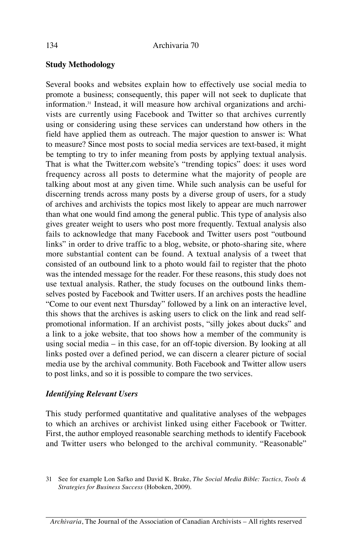# **Study Methodology**

Several books and websites explain how to effectively use social media to promote a business; consequently, this paper will not seek to duplicate that information.31 Instead, it will measure how archival organizations and archivists are currently using Facebook and Twitter so that archives currently using or considering using these services can understand how others in the field have applied them as outreach. The major question to answer is: What to measure? Since most posts to social media services are text-based, it might be tempting to try to infer meaning from posts by applying textual analysis. That is what the Twitter.com website's "trending topics" does: it uses word frequency across all posts to determine what the majority of people are talking about most at any given time. While such analysis can be useful for discerning trends across many posts by a diverse group of users, for a study of archives and archivists the topics most likely to appear are much narrower than what one would find among the general public. This type of analysis also gives greater weight to users who post more frequently. Textual analysis also fails to acknowledge that many Facebook and Twitter users post "outbound links" in order to drive traffic to a blog, website, or photo-sharing site, where more substantial content can be found. A textual analysis of a tweet that consisted of an outbound link to a photo would fail to register that the photo was the intended message for the reader. For these reasons, this study does not use textual analysis. Rather, the study focuses on the outbound links themselves posted by Facebook and Twitter users. If an archives posts the headline "Come to our event next Thursday" followed by a link on an interactive level, this shows that the archives is asking users to click on the link and read selfpromotional information. If an archivist posts, "silly jokes about ducks" and a link to a joke website, that too shows how a member of the community is using social media – in this case, for an off-topic diversion. By looking at all links posted over a defined period, we can discern a clearer picture of social media use by the archival community. Both Facebook and Twitter allow users to post links, and so it is possible to compare the two services.

# *Identifying Relevant Users*

This study performed quantitative and qualitative analyses of the webpages to which an archives or archivist linked using either Facebook or Twitter. First, the author employed reasonable searching methods to identify Facebook and Twitter users who belonged to the archival community. "Reasonable"

<sup>31</sup> See for example Lon Safko and David K. Brake, *The Social Media Bible: Tactics, Tools & Strategies for Business Success* (Hoboken, 2009).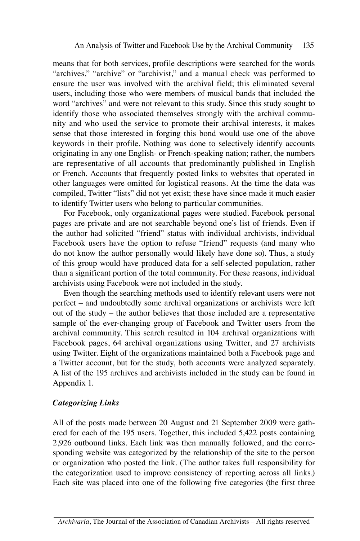means that for both services, profile descriptions were searched for the words "archives," "archive" or "archivist," and a manual check was performed to ensure the user was involved with the archival field; this eliminated several users, including those who were members of musical bands that included the word "archives" and were not relevant to this study. Since this study sought to identify those who associated themselves strongly with the archival community and who used the service to promote their archival interests, it makes sense that those interested in forging this bond would use one of the above keywords in their profile. Nothing was done to selectively identify accounts originating in any one English- or French-speaking nation; rather, the numbers are representative of all accounts that predominantly published in English or French. Accounts that frequently posted links to websites that operated in other languages were omitted for logistical reasons. At the time the data was compiled, Twitter "lists" did not yet exist; these have since made it much easier to identify Twitter users who belong to particular communities.

For Facebook, only organizational pages were studied. Facebook personal pages are private and are not searchable beyond one's list of friends. Even if the author had solicited "friend" status with individual archivists, individual Facebook users have the option to refuse "friend" requests (and many who do not know the author personally would likely have done so). Thus, a study of this group would have produced data for a self-selected population, rather than a significant portion of the total community. For these reasons, individual archivists using Facebook were not included in the study.

Even though the searching methods used to identify relevant users were not perfect – and undoubtedly some archival organizations or archivists were left out of the study – the author believes that those included are a representative sample of the ever-changing group of Facebook and Twitter users from the archival community. This search resulted in 104 archival organizations with Facebook pages, 64 archival organizations using Twitter, and 27 archivists using Twitter. Eight of the organizations maintained both a Facebook page and a Twitter account, but for the study, both accounts were analyzed separately. A list of the 195 archives and archivists included in the study can be found in Appendix 1.

#### *Categorizing Links*

All of the posts made between 20 August and 21 September 2009 were gathered for each of the 195 users. Together, this included 5,422 posts containing 2,926 outbound links. Each link was then manually followed, and the corresponding website was categorized by the relationship of the site to the person or organization who posted the link. (The author takes full responsibility for the categorization used to improve consistency of reporting across all links.) Each site was placed into one of the following five categories (the first three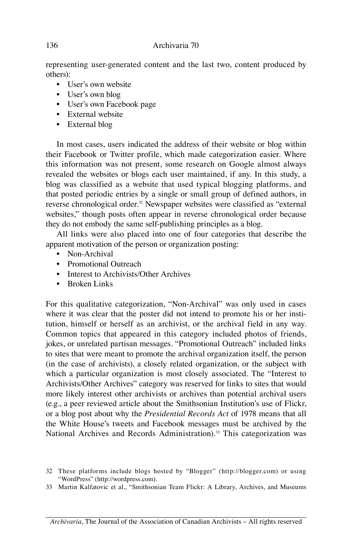representing user-generated content and the last two, content produced by others):

- User's own website
- User's own blog
- User's own Facebook page
- External website
- External blog

In most cases, users indicated the address of their website or blog within their Facebook or Twitter profile, which made categorization easier. Where this information was not present, some research on Google almost always revealed the websites or blogs each user maintained, if any. In this study, a blog was classified as a website that used typical blogging platforms, and that posted periodic entries by a single or small group of defined authors, in reverse chronological order.<sup>32</sup> Newspaper websites were classified as "external websites," though posts often appear in reverse chronological order because they do not embody the same self-publishing principles as a blog.

All links were also placed into one of four categories that describe the apparent motivation of the person or organization posting:

- Non-Archival
- Promotional Outreach
- Interest to Archivists/Other Archives
- Broken Links

For this qualitative categorization, "Non-Archival" was only used in cases where it was clear that the poster did not intend to promote his or her institution, himself or herself as an archivist, or the archival field in any way. Common topics that appeared in this category included photos of friends, jokes, or unrelated partisan messages. "Promotional Outreach" included links to sites that were meant to promote the archival organization itself, the person (in the case of archivists), a closely related organization, or the subject with which a particular organization is most closely associated. The "Interest to Archivists/Other Archives" category was reserved for links to sites that would more likely interest other archivists or archives than potential archival users (e.g., a peer reviewed article about the Smithsonian Institution's use of Flickr, or a blog post about why the *Presidential Records Act* of 1978 means that all the White House's tweets and Facebook messages must be archived by the National Archives and Records Administration).<sup>33</sup> This categorization was

<sup>32</sup> These platforms include blogs hosted by "Blogger" (http://blogger.com) or using "WordPress" (http://wordpress.com).

<sup>33</sup> Martin Kalfatovic et al., "Smithsonian Team Flickr: A Library, Archives, and Museums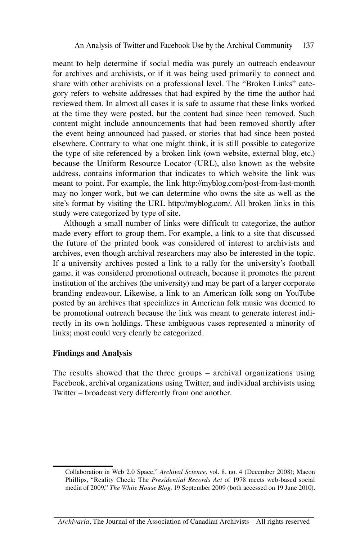meant to help determine if social media was purely an outreach endeavour for archives and archivists, or if it was being used primarily to connect and share with other archivists on a professional level. The "Broken Links" category refers to website addresses that had expired by the time the author had reviewed them. In almost all cases it is safe to assume that these links worked at the time they were posted, but the content had since been removed. Such content might include announcements that had been removed shortly after the event being announced had passed, or stories that had since been posted elsewhere. Contrary to what one might think, it is still possible to categorize the type of site referenced by a broken link (own website, external blog, etc.) because the Uniform Resource Locator (URL), also known as the website address, contains information that indicates to which website the link was meant to point. For example, the link http://myblog.com/post-from-last-month may no longer work, but we can determine who owns the site as well as the site's format by visiting the URL http://myblog.com/. All broken links in this study were categorized by type of site.

Although a small number of links were difficult to categorize, the author made every effort to group them. For example, a link to a site that discussed the future of the printed book was considered of interest to archivists and archives, even though archival researchers may also be interested in the topic. If a university archives posted a link to a rally for the university's football game, it was considered promotional outreach, because it promotes the parent institution of the archives (the university) and may be part of a larger corporate branding endeavour. Likewise, a link to an American folk song on YouTube posted by an archives that specializes in American folk music was deemed to be promotional outreach because the link was meant to generate interest indirectly in its own holdings. These ambiguous cases represented a minority of links; most could very clearly be categorized.

#### **Findings and Analysis**

The results showed that the three groups – archival organizations using Facebook, archival organizations using Twitter, and individual archivists using Twitter – broadcast very differently from one another.

Collaboration in Web 2.0 Space," *Archival Science*, vol. 8, no. 4 (December 2008); Macon Phillips, "Reality Check: The *Presidential Records Act* of 1978 meets web-based social media of 2009," *The White House Blog,* 19 September 2009 (both accessed on 19 June 2010).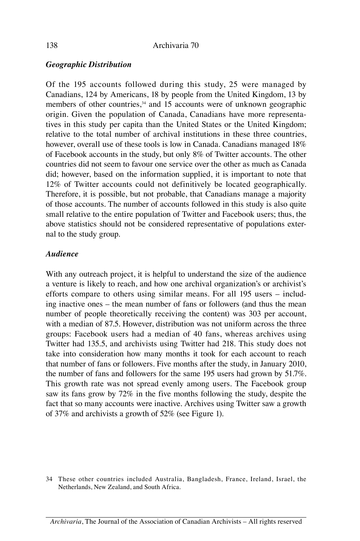## *Geographic Distribution*

Of the 195 accounts followed during this study, 25 were managed by Canadians, 124 by Americans, 18 by people from the United Kingdom, 13 by members of other countries,<sup>34</sup> and 15 accounts were of unknown geographic origin. Given the population of Canada, Canadians have more representatives in this study per capita than the United States or the United Kingdom; relative to the total number of archival institutions in these three countries, however, overall use of these tools is low in Canada. Canadians managed 18% of Facebook accounts in the study, but only 8% of Twitter accounts. The other countries did not seem to favour one service over the other as much as Canada did; however, based on the information supplied, it is important to note that 12% of Twitter accounts could not definitively be located geographically. Therefore, it is possible, but not probable, that Canadians manage a majority of those accounts. The number of accounts followed in this study is also quite small relative to the entire population of Twitter and Facebook users; thus, the above statistics should not be considered representative of populations external to the study group.

### *Audience*

With any outreach project, it is helpful to understand the size of the audience a venture is likely to reach, and how one archival organization's or archivist's efforts compare to others using similar means. For all 195 users – including inactive ones – the mean number of fans or followers (and thus the mean number of people theoretically receiving the content) was 303 per account, with a median of 87.5. However, distribution was not uniform across the three groups: Facebook users had a median of 40 fans, whereas archives using Twitter had 135.5, and archivists using Twitter had 218. This study does not take into consideration how many months it took for each account to reach that number of fans or followers. Five months after the study, in January 2010, the number of fans and followers for the same 195 users had grown by 51.7%. This growth rate was not spread evenly among users. The Facebook group saw its fans grow by 72% in the five months following the study, despite the fact that so many accounts were inactive. Archives using Twitter saw a growth of 37% and archivists a growth of 52% (see Figure 1).

<sup>34</sup> These other countries included Australia, Bangladesh, France, Ireland, Israel, the Netherlands, New Zealand, and South Africa.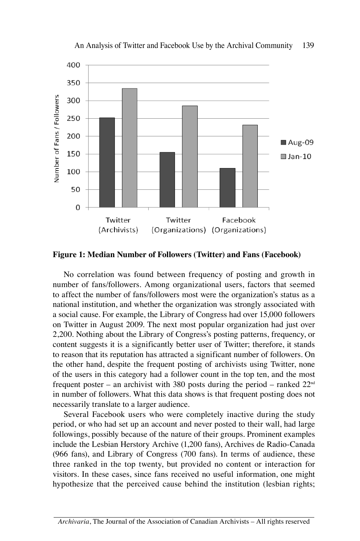

An Analysis of Twitter and Facebook Use by the Archival Community 139

**Figure 1: Median Number of Followers (Twitter) and Fans (Facebook)**

No correlation was found between frequency of posting and growth in number of fans/followers. Among organizational users, factors that seemed to affect the number of fans/followers most were the organization's status as a national institution, and whether the organization was strongly associated with a social cause. For example, the Library of Congress had over 15,000 followers on Twitter in August 2009. The next most popular organization had just over 2,200. Nothing about the Library of Congress's posting patterns, frequency, or content suggests it is a significantly better user of Twitter; therefore, it stands to reason that its reputation has attracted a significant number of followers. On the other hand, despite the frequent posting of archivists using Twitter, none of the users in this category had a follower count in the top ten, and the most frequent poster – an archivist with 380 posts during the period – ranked  $22^{\text{nd}}$ in number of followers. What this data shows is that frequent posting does not necessarily translate to a larger audience.

Several Facebook users who were completely inactive during the study period, or who had set up an account and never posted to their wall, had large followings, possibly because of the nature of their groups. Prominent examples include the Lesbian Herstory Archive (1,200 fans), Archives de Radio-Canada (966 fans), and Library of Congress (700 fans). In terms of audience, these three ranked in the top twenty, but provided no content or interaction for visitors. In these cases, since fans received no useful information, one might hypothesize that the perceived cause behind the institution (lesbian rights;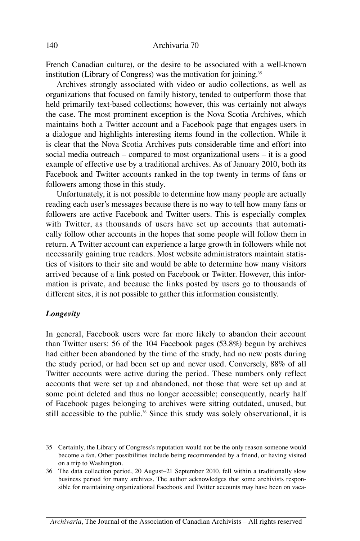French Canadian culture), or the desire to be associated with a well-known institution (Library of Congress) was the motivation for joining.35

Archives strongly associated with video or audio collections, as well as organizations that focused on family history, tended to outperform those that held primarily text-based collections; however, this was certainly not always the case. The most prominent exception is the Nova Scotia Archives, which maintains both a Twitter account and a Facebook page that engages users in a dialogue and highlights interesting items found in the collection. While it is clear that the Nova Scotia Archives puts considerable time and effort into social media outreach – compared to most organizational users – it is a good example of effective use by a traditional archives. As of January 2010, both its Facebook and Twitter accounts ranked in the top twenty in terms of fans or followers among those in this study.

Unfortunately, it is not possible to determine how many people are actually reading each user's messages because there is no way to tell how many fans or followers are active Facebook and Twitter users. This is especially complex with Twitter, as thousands of users have set up accounts that automatically follow other accounts in the hopes that some people will follow them in return. A Twitter account can experience a large growth in followers while not necessarily gaining true readers. Most website administrators maintain statistics of visitors to their site and would be able to determine how many visitors arrived because of a link posted on Facebook or Twitter. However, this information is private, and because the links posted by users go to thousands of different sites, it is not possible to gather this information consistently.

#### *Longevity*

In general, Facebook users were far more likely to abandon their account than Twitter users: 56 of the 104 Facebook pages (53.8%) begun by archives had either been abandoned by the time of the study, had no new posts during the study period, or had been set up and never used. Conversely, 88% of all Twitter accounts were active during the period. These numbers only reflect accounts that were set up and abandoned, not those that were set up and at some point deleted and thus no longer accessible; consequently, nearly half of Facebook pages belonging to archives were sitting outdated, unused, but still accessible to the public.<sup>36</sup> Since this study was solely observational, it is

<sup>35</sup> Certainly, the Library of Congress's reputation would not be the only reason someone would become a fan. Other possibilities include being recommended by a friend, or having visited on a trip to Washington.

<sup>36</sup> The data collection period, 20 August–21 September 2010, fell within a traditionally slow business period for many archives. The author acknowledges that some archivists responsible for maintaining organizational Facebook and Twitter accounts may have been on vaca-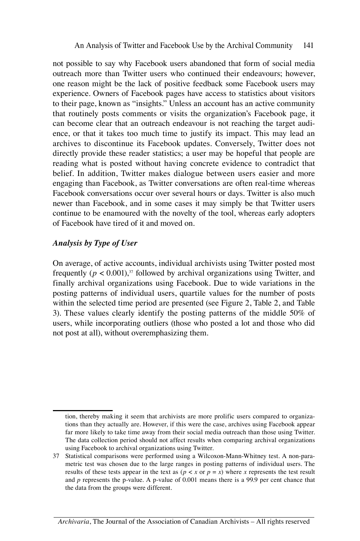not possible to say why Facebook users abandoned that form of social media outreach more than Twitter users who continued their endeavours; however, one reason might be the lack of positive feedback some Facebook users may experience. Owners of Facebook pages have access to statistics about visitors to their page, known as "insights." Unless an account has an active community that routinely posts comments or visits the organization's Facebook page, it can become clear that an outreach endeavour is not reaching the target audience, or that it takes too much time to justify its impact. This may lead an archives to discontinue its Facebook updates. Conversely, Twitter does not directly provide these reader statistics; a user may be hopeful that people are reading what is posted without having concrete evidence to contradict that belief. In addition, Twitter makes dialogue between users easier and more engaging than Facebook, as Twitter conversations are often real-time whereas Facebook conversations occur over several hours or days. Twitter is also much newer than Facebook, and in some cases it may simply be that Twitter users continue to be enamoured with the novelty of the tool, whereas early adopters of Facebook have tired of it and moved on.

#### *Analysis by Type of User*

On average, of active accounts, individual archivists using Twitter posted most frequently  $(p < 0.001)$ ,<sup>37</sup> followed by archival organizations using Twitter, and finally archival organizations using Facebook. Due to wide variations in the posting patterns of individual users, quartile values for the number of posts within the selected time period are presented (see Figure 2, Table 2, and Table 3). These values clearly identify the posting patterns of the middle 50% of users, while incorporating outliers (those who posted a lot and those who did not post at all), without overemphasizing them.

tion, thereby making it seem that archivists are more prolific users compared to organizations than they actually are. However, if this were the case, archives using Facebook appear far more likely to take time away from their social media outreach than those using Twitter. The data collection period should not affect results when comparing archival organizations using Facebook to archival organizations using Twitter.

<sup>37</sup> Statistical comparisons were performed using a Wilcoxon-Mann-Whitney test. A non-parametric test was chosen due to the large ranges in posting patterns of individual users. The results of these tests appear in the text as  $(p \lt x$  or  $p = x$ ) where *x* represents the test result and *p* represents the p-value. A p-value of 0.001 means there is a 99.9 per cent chance that the data from the groups were different.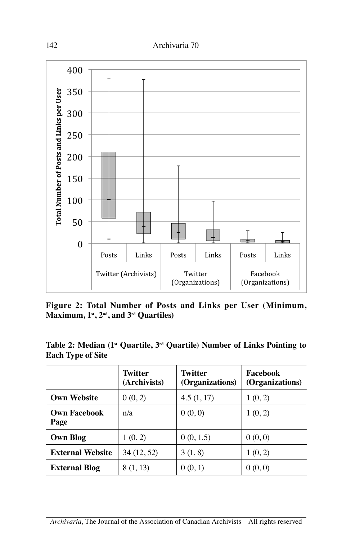

**Figure 2: Total Number of Posts and Links per User (Minimum, Maximum, 1st, 2nd, and 3rd Quartiles)**

**Table 2: Median (1st Quartile, 3rd Quartile) Number of Links Pointing to Each Type of Site**

|                             | <b>Twitter</b><br>(Archivists) | Twitter<br>(Organizations) | Facebook<br>(Organizations) |
|-----------------------------|--------------------------------|----------------------------|-----------------------------|
| <b>Own Website</b>          | 0(0, 2)                        | 4.5(1, 17)                 | 1(0, 2)                     |
| <b>Own Facebook</b><br>Page | n/a                            | 0(0,0)                     | 1(0, 2)                     |
| <b>Own Blog</b>             | 1(0, 2)                        | 0(0, 1.5)                  | 0(0,0)                      |
| <b>External Website</b>     | 34 (12, 52)                    | 3(1, 8)                    | 1(0, 2)                     |
| <b>External Blog</b>        | 8 (1, 13)                      | 0(0, 1)                    | 0(0,0)                      |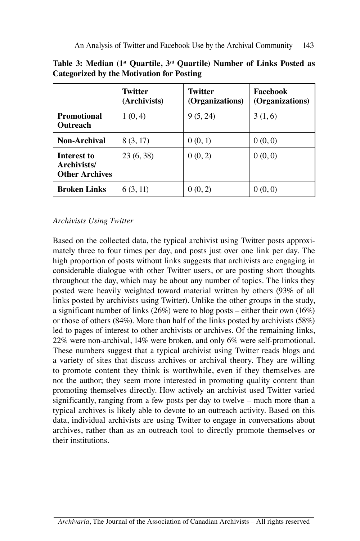|                                                     | <b>Twitter</b><br>(Archivists) | Twitter<br>(Organizations) | Facebook<br>(Organizations) |
|-----------------------------------------------------|--------------------------------|----------------------------|-----------------------------|
| <b>Promotional</b><br>Outreach                      | 1(0, 4)                        | 9(5, 24)                   | 3(1,6)                      |
| Non-Archival                                        | 8(3, 17)                       | 0(0, 1)                    | 0(0,0)                      |
| Interest to<br>Archivists/<br><b>Other Archives</b> | 23(6, 38)                      | 0(0, 2)                    | 0(0,0)                      |
| <b>Broken Links</b>                                 | 6 (3, 11)                      | (0, 2)                     | 0(0,0)                      |

**Table 3: Median (1st Quartile, 3rd Quartile) Number of Links Posted as Categorized by the Motivation for Posting**

# *Archivists Using Twitter*

Based on the collected data, the typical archivist using Twitter posts approximately three to four times per day, and posts just over one link per day. The high proportion of posts without links suggests that archivists are engaging in considerable dialogue with other Twitter users, or are posting short thoughts throughout the day, which may be about any number of topics. The links they posted were heavily weighted toward material written by others (93% of all links posted by archivists using Twitter). Unlike the other groups in the study, a significant number of links (26%) were to blog posts – either their own (16%) or those of others (84%). More than half of the links posted by archivists (58%) led to pages of interest to other archivists or archives. Of the remaining links, 22% were non-archival, 14% were broken, and only 6% were self-promotional. These numbers suggest that a typical archivist using Twitter reads blogs and a variety of sites that discuss archives or archival theory. They are willing to promote content they think is worthwhile, even if they themselves are not the author; they seem more interested in promoting quality content than promoting themselves directly. How actively an archivist used Twitter varied significantly, ranging from a few posts per day to twelve – much more than a typical archives is likely able to devote to an outreach activity. Based on this data, individual archivists are using Twitter to engage in conversations about archives, rather than as an outreach tool to directly promote themselves or their institutions.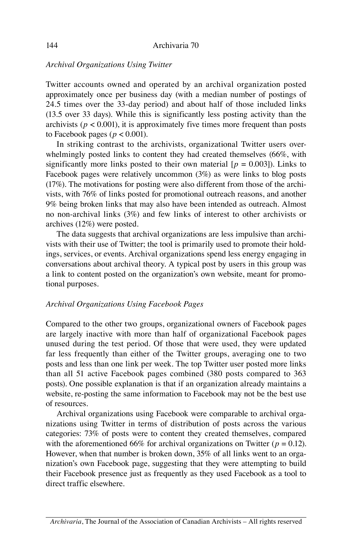#### *Archival Organizations Using Twitter*

Twitter accounts owned and operated by an archival organization posted approximately once per business day (with a median number of postings of 24.5 times over the 33-day period) and about half of those included links (13.5 over 33 days). While this is significantly less posting activity than the archivists ( $p < 0.001$ ), it is approximately five times more frequent than posts to Facebook pages ( $p < 0.001$ ).

In striking contrast to the archivists, organizational Twitter users overwhelmingly posted links to content they had created themselves (66%, with significantly more links posted to their own material  $[p = 0.003]$ ). Links to Facebook pages were relatively uncommon (3%) as were links to blog posts (17%). The motivations for posting were also different from those of the archivists, with 76% of links posted for promotional outreach reasons, and another 9% being broken links that may also have been intended as outreach. Almost no non-archival links (3%) and few links of interest to other archivists or archives (12%) were posted.

The data suggests that archival organizations are less impulsive than archivists with their use of Twitter; the tool is primarily used to promote their holdings, services, or events. Archival organizations spend less energy engaging in conversations about archival theory. A typical post by users in this group was a link to content posted on the organization's own website, meant for promotional purposes.

#### *Archival Organizations Using Facebook Pages*

Compared to the other two groups, organizational owners of Facebook pages are largely inactive with more than half of organizational Facebook pages unused during the test period. Of those that were used, they were updated far less frequently than either of the Twitter groups, averaging one to two posts and less than one link per week. The top Twitter user posted more links than all 51 active Facebook pages combined (380 posts compared to 363 posts). One possible explanation is that if an organization already maintains a website, re-posting the same information to Facebook may not be the best use of resources.

Archival organizations using Facebook were comparable to archival organizations using Twitter in terms of distribution of posts across the various categories: 73% of posts were to content they created themselves, compared with the aforementioned 66% for archival organizations on Twitter ( $p = 0.12$ ). However, when that number is broken down, 35% of all links went to an organization's own Facebook page, suggesting that they were attempting to build their Facebook presence just as frequently as they used Facebook as a tool to direct traffic elsewhere.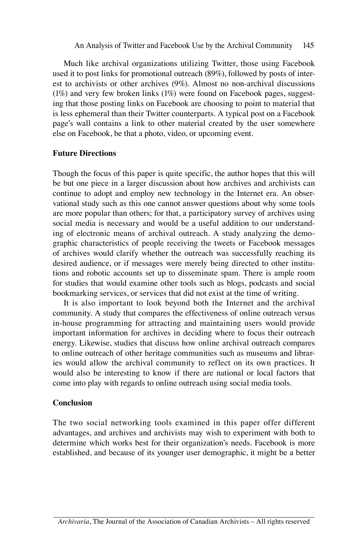Much like archival organizations utilizing Twitter, those using Facebook used it to post links for promotional outreach (89%), followed by posts of interest to archivists or other archives (9%). Almost no non-archival discussions (1%) and very few broken links (1%) were found on Facebook pages, suggesting that those posting links on Facebook are choosing to point to material that is less ephemeral than their Twitter counterparts. A typical post on a Facebook page's wall contains a link to other material created by the user somewhere else on Facebook, be that a photo, video, or upcoming event.

#### **Future Directions**

Though the focus of this paper is quite specific, the author hopes that this will be but one piece in a larger discussion about how archives and archivists can continue to adopt and employ new technology in the Internet era. An observational study such as this one cannot answer questions about why some tools are more popular than others; for that, a participatory survey of archives using social media is necessary and would be a useful addition to our understanding of electronic means of archival outreach. A study analyzing the demographic characteristics of people receiving the tweets or Facebook messages of archives would clarify whether the outreach was successfully reaching its desired audience, or if messages were merely being directed to other institutions and robotic accounts set up to disseminate spam. There is ample room for studies that would examine other tools such as blogs, podcasts and social bookmarking services, or services that did not exist at the time of writing.

It is also important to look beyond both the Internet and the archival community. A study that compares the effectiveness of online outreach versus in-house programming for attracting and maintaining users would provide important information for archives in deciding where to focus their outreach energy. Likewise, studies that discuss how online archival outreach compares to online outreach of other heritage communities such as museums and libraries would allow the archival community to reflect on its own practices. It would also be interesting to know if there are national or local factors that come into play with regards to online outreach using social media tools.

#### **Conclusion**

The two social networking tools examined in this paper offer different advantages, and archives and archivists may wish to experiment with both to determine which works best for their organization's needs. Facebook is more established, and because of its younger user demographic, it might be a better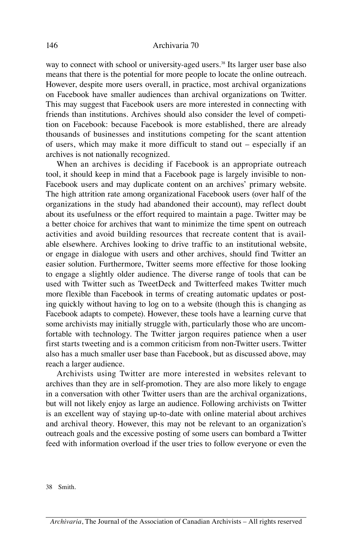#### 146 Archivaria 70

way to connect with school or university-aged users.<sup>38</sup> Its larger user base also means that there is the potential for more people to locate the online outreach. However, despite more users overall, in practice, most archival organizations on Facebook have smaller audiences than archival organizations on Twitter. This may suggest that Facebook users are more interested in connecting with friends than institutions. Archives should also consider the level of competition on Facebook: because Facebook is more established, there are already thousands of businesses and institutions competing for the scant attention of users, which may make it more difficult to stand out – especially if an archives is not nationally recognized.

When an archives is deciding if Facebook is an appropriate outreach tool, it should keep in mind that a Facebook page is largely invisible to non-Facebook users and may duplicate content on an archives' primary website. The high attrition rate among organizational Facebook users (over half of the organizations in the study had abandoned their account), may reflect doubt about its usefulness or the effort required to maintain a page. Twitter may be a better choice for archives that want to minimize the time spent on outreach activities and avoid building resources that recreate content that is available elsewhere. Archives looking to drive traffic to an institutional website, or engage in dialogue with users and other archives, should find Twitter an easier solution. Furthermore, Twitter seems more effective for those looking to engage a slightly older audience. The diverse range of tools that can be used with Twitter such as TweetDeck and Twitterfeed makes Twitter much more flexible than Facebook in terms of creating automatic updates or posting quickly without having to log on to a website (though this is changing as Facebook adapts to compete). However, these tools have a learning curve that some archivists may initially struggle with, particularly those who are uncomfortable with technology. The Twitter jargon requires patience when a user first starts tweeting and is a common criticism from non-Twitter users. Twitter also has a much smaller user base than Facebook, but as discussed above, may reach a larger audience.

Archivists using Twitter are more interested in websites relevant to archives than they are in self-promotion. They are also more likely to engage in a conversation with other Twitter users than are the archival organizations, but will not likely enjoy as large an audience. Following archivists on Twitter is an excellent way of staying up-to-date with online material about archives and archival theory. However, this may not be relevant to an organization's outreach goals and the excessive posting of some users can bombard a Twitter feed with information overload if the user tries to follow everyone or even the

38 Smith.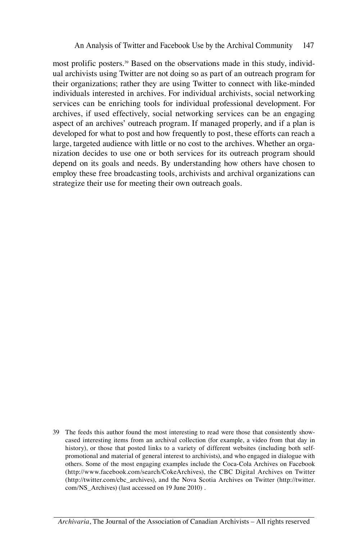most prolific posters.39 Based on the observations made in this study, individual archivists using Twitter are not doing so as part of an outreach program for their organizations; rather they are using Twitter to connect with like-minded individuals interested in archives. For individual archivists, social networking services can be enriching tools for individual professional development. For archives, if used effectively, social networking services can be an engaging aspect of an archives' outreach program. If managed properly, and if a plan is developed for what to post and how frequently to post, these efforts can reach a large, targeted audience with little or no cost to the archives. Whether an organization decides to use one or both services for its outreach program should depend on its goals and needs. By understanding how others have chosen to employ these free broadcasting tools, archivists and archival organizations can strategize their use for meeting their own outreach goals.

39 The feeds this author found the most interesting to read were those that consistently showcased interesting items from an archival collection (for example, a video from that day in history), or those that posted links to a variety of different websites (including both selfpromotional and material of general interest to archivists), and who engaged in dialogue with others. Some of the most engaging examples include the Coca-Cola Archives on Facebook (http://www.facebook.com/search/CokeArchives), the CBC Digital Archives on Twitter (http://twitter.com/cbc\_archives), and the Nova Scotia Archives on Twitter (http://twitter. com/NS\_Archives) (last accessed on 19 June 2010) .

*Archivaria*, The Journal of the Association of Canadian Archivists – All rights reserved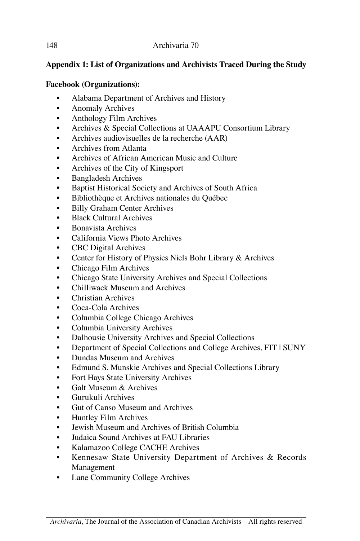# **Appendix 1: List of Organizations and Archivists Traced During the Study**

# **Facebook (Organizations):**

- Alabama Department of Archives and History
- Anomaly Archives
- Anthology Film Archives
- Archives & Special Collections at UAAAPU Consortium Library
- Archives audiovisuelles de la recherche (AAR)
- Archives from Atlanta
- Archives of African American Music and Culture
- Archives of the City of Kingsport
- Bangladesh Archives
- Baptist Historical Society and Archives of South Africa
- Bibliothèque et Archives nationales du Québec
- Billy Graham Center Archives
- Black Cultural Archives
- Bonavista Archives
- California Views Photo Archives
- CBC Digital Archives
- Center for History of Physics Niels Bohr Library & Archives
- Chicago Film Archives
- Chicago State University Archives and Special Collections
- Chilliwack Museum and Archives
- Christian Archives
- Coca-Cola Archives
- Columbia College Chicago Archives
- Columbia University Archives
- Dalhousie University Archives and Special Collections
- Department of Special Collections and College Archives, FIT | SUNY
- Dundas Museum and Archives
- Edmund S. Munskie Archives and Special Collections Library
- Fort Hays State University Archives
- Galt Museum & Archives
- Gurukuli Archives
- Gut of Canso Museum and Archives
- Huntley Film Archives
- Jewish Museum and Archives of British Columbia
- Judaica Sound Archives at FAU Libraries
- Kalamazoo College CACHE Archives
- Kennesaw State University Department of Archives & Records Management
- Lane Community College Archives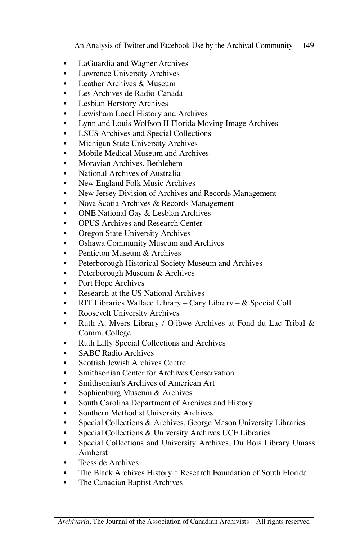An Analysis of Twitter and Facebook Use by the Archival Community 149

- LaGuardia and Wagner Archives
- Lawrence University Archives
- Leather Archives & Museum
- Les Archives de Radio-Canada
- Lesbian Herstory Archives
- Lewisham Local History and Archives
- Lynn and Louis Wolfson II Florida Moving Image Archives
- LSUS Archives and Special Collections
- Michigan State University Archives
- Mobile Medical Museum and Archives
- Moravian Archives, Bethlehem
- National Archives of Australia
- New England Folk Music Archives
- New Jersey Division of Archives and Records Management
- Nova Scotia Archives & Records Management
- ONE National Gay & Lesbian Archives
- OPUS Archives and Research Center
- Oregon State University Archives
- Oshawa Community Museum and Archives
- Penticton Museum & Archives
- Peterborough Historical Society Museum and Archives
- Peterborough Museum & Archives
- Port Hope Archives
- Research at the US National Archives
- RIT Libraries Wallace Library Cary Library & Special Coll
- Roosevelt University Archives
- Ruth A. Myers Library / Ojibwe Archives at Fond du Lac Tribal  $\&$ Comm. College
- Ruth Lilly Special Collections and Archives
- SABC Radio Archives
- Scottish Jewish Archives Centre
- Smithsonian Center for Archives Conservation
- Smithsonian's Archives of American Art
- Sophienburg Museum & Archives
- South Carolina Department of Archives and History
- Southern Methodist University Archives
- Special Collections & Archives, George Mason University Libraries
- Special Collections & University Archives UCF Libraries
- Special Collections and University Archives, Du Bois Library Umass Amherst
- Teesside Archives
- The Black Archives History \* Research Foundation of South Florida
- The Canadian Baptist Archives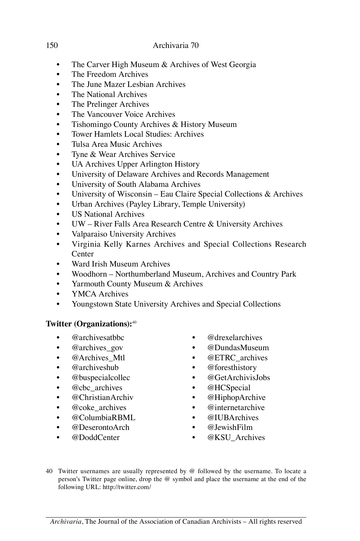# 150 Archivaria 70

- The Carver High Museum & Archives of West Georgia
- The Freedom Archives
- The June Mazer Lesbian Archives
- The National Archives
- The Prelinger Archives
- The Vancouver Voice Archives
- Tishomingo County Archives & History Museum
- Tower Hamlets Local Studies: Archives
- Tulsa Area Music Archives
- Tyne & Wear Archives Service
- UA Archives Upper Arlington History
- University of Delaware Archives and Records Management
- University of South Alabama Archives
- University of Wisconsin Eau Claire Special Collections & Archives
- Urban Archives (Payley Library, Temple University)
- US National Archives
- UW River Falls Area Research Centre & University Archives
- Valparaiso University Archives
- Virginia Kelly Karnes Archives and Special Collections Research **Center**
- Ward Irish Museum Archives
- Woodhorn Northumberland Museum, Archives and Country Park
- Yarmouth County Museum & Archives
- YMCA Archives
- Youngstown State University Archives and Special Collections

# **Twitter (Organizations):**<sup>40</sup>

- @archivesatbbc
- @archives gov
- @Archives Mtl
- @archiveshub
- **@buspecialcollec**
- @cbc\_archives
- **@ChristianArchiv**
- @coke\_archives
- @ColumbiaRBML
- **@DeserontoArch**
- @DoddCenter
- @drexelarchives
- @DundasMuseum
- **@ETRC** archives
- @foresthistory
- **@GetArchivisJobs**
- @HCSpecial
- @HiphopArchive
- **@internetarchive**
- @IUBArchives
- **@JewishFilm**
- @KSU\_Archives
- 40 Twitter usernames are usually represented by @ followed by the username. To locate a person's Twitter page online, drop the @ symbol and place the username at the end of the following URL: http://twitter.com/